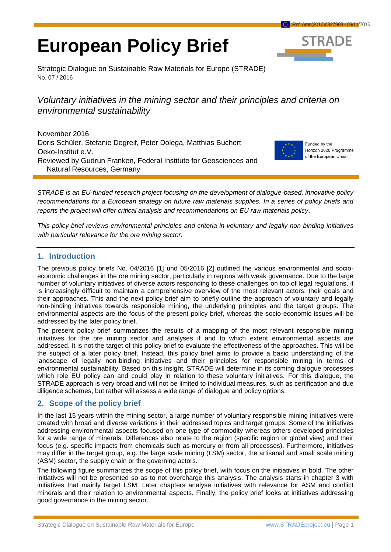# **European Policy Brief**



Strategic Dialogue on Sustainable Raw Materials for Europe (STRADE) No. 07 / 2016

# *Voluntary initiatives in the mining sector and their principles and criteria on environmental sustainability*

November 2016 Doris Schüler, Stefanie Degreif, Peter Dolega, Matthias Buchert Oeko-Institut e.V. Reviewed by Gudrun Franken, Federal Institute for Geosciences and Natural Resources, Germany



Funded by the Horizon 2020 Programme of the European Union

*STRADE is an EU-funded research project focusing on the development of dialogue-based, innovative policy recommendations for a European strategy on future raw materials supplies. In a series of policy briefs and reports the project will offer critical analysis and recommendations on EU raw materials policy*.

*This policy brief reviews environmental principles and criteria in voluntary and legally non-binding initiatives with particular relevance for the ore mining sector.*

# **1. Introduction**

The previous policy briefs No. 04/2016 [1] und 05/2016 [2] outlined the various environmental and socioeconomic challenges in the ore mining sector, particularly in regions with weak governance. Due to the large number of voluntary initiatives of diverse actors responding to these challenges on top of legal regulations, it is increasingly difficult to maintain a comprehensive overview of the most relevant actors, their goals and their approaches. This and the next policy brief aim to briefly outline the approach of voluntary and legally non-binding initiatives towards responsible mining, the underlying principles and the target groups. The environmental aspects are the focus of the present policy brief, whereas the socio-economic issues will be addressed by the later policy brief.

The present policy brief summarizes the results of a mapping of the most relevant responsible mining initiatives for the ore mining sector and analyses if and to which extent environmental aspects are addressed. It is not the target of this policy brief to evaluate the effectiveness of the approaches. This will be the subject of a later policy brief. Instead, this policy brief aims to provide a basic understanding of the landscape of legally non-binding initiatives and their principles for responsible mining in terms of environmental sustainability. Based on this insight, STRADE will determine in its coming dialogue processes which role EU policy can and could play in relation to these voluntary initiatives. For this dialogue, the STRADE approach is very broad and will not be limited to individual measures, such as certification and due diligence schemes, but rather will assess a wide range of dialogue and policy options.

## **2. Scope of the policy brief**

In the last 15 years within the mining sector, a large number of voluntary responsible mining initiatives were created with broad and diverse variations in their addressed topics and target groups. Some of the initiatives addressing environmental aspects focused on one type of commodity whereas others developed principles for a wide range of minerals. Differences also relate to the region (specific region or global view) and their focus (e.g. specific impacts from chemicals such as mercury or from all processes). Furthermore, initiatives may differ in the target group, e.g. the large scale mining (LSM) sector, the artisanal and small scale mining (ASM) sector, the supply chain or the governing actors.

The following figure summarizes the scope of this policy brief, with focus on the initiatives in bold. The other initiatives will not be presented so as to not overcharge this analysis. The analysis starts in chapter 3 with initiatives that mainly target LSM. Later chapters analyse initiatives with relevance for ASM and conflict minerals and their relation to environmental aspects. Finally, the policy brief looks at initiatives addressing good governance in the mining sector.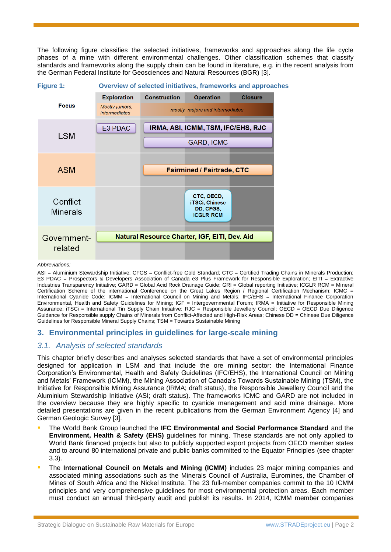The following figure classifies the selected initiatives, frameworks and approaches along the life cycle phases of a mine with different environmental challenges. Other classification schemes that classify standards and frameworks along the supply chain can be found in literature, e.g. in the recent analysis from the German Federal Institute for Geosciences and Natural Resources (BGR) [3].



#### *Abbreviations:*

ASI = Aluminium Stewardship Initiative: CFGS = Conflict-free Gold Standard: CTC = Certified Trading Chains in Minerals Production: E3 PDAC = Prospectors & Developers Association of Canada e3 Plus Framework for Responsible Exploration; EITI = Extractive Industries Transparency Initiative; GARD = Global Acid Rock Drainage Guide; GRI = Global reporting Initiative; ICGLR RCM = Mineral Certification Scheme of the international Conference on the Great Lakes Region / Regional Certification Mechanism; ICMC = International Cyanide Code; ICMM = International Council on Mining and Metals; IFC/EHS = International Finance Corporation Environmental, Health and Safety Guidelines for Mining; IGF = Intergovernmental Forum; IRMA = Initiative for Responsible Mining Assurance; iTSCi = International Tin Supply Chain Initiative; RJC = Responsible Jewellery Council; OECD = OECD Due Diligence Guidance for Responsible supply Chains of Minerals from Conflict-Affected and High-Risk Areas; Chinese DD = Chinese Due Diligence Guidelines for Responsible Mineral Supply Chains; TSM = Towards Sustainable Mining

#### **3. Environmental principles in guidelines for large-scale mining**

#### <span id="page-1-0"></span>*3.1. Analysis of selected standards*

This chapter briefly describes and analyses selected standards that have a set of environmental principles designed for application in LSM and that include the ore mining sector: the International Finance Corporation's Environmental, Health and Safety Guidelines (IFC/EHS), the International Council on Mining and Metals' Framework (ICMM), the Mining Association of Canada's Towards Sustainable Mining (TSM), the Initiative for Responsible Mining Assurance (IRMA; draft status), the Responsible Jewellery Council and the Aluminium Stewardship Initiative (ASI; draft status). The frameworks ICMC and GARD are not included in the overview because they are highly specific to cyanide management and acid mine drainage. More detailed presentations are given in the recent publications from the German Environment Agency [4] and German Geologic Survey [3].

- The World Bank Group launched the **IFC Environmental and Social Performance Standard** and the **Environment, Health & Safety (EHS)** guidelines for mining. These standards are not only applied to World Bank financed projects but also to publicly supported export projects from OECD member states and to around 80 international private and public banks committed to the Equator Principles (see chapter [3.3\)](#page-4-0).
- The **International Council on Metals and Mining (ICMM)** includes 23 major mining companies and associated mining associations such as the Minerals Council of Australia, Euromines, the Chamber of Mines of South Africa and the Nickel Institute. The 23 full-member companies commit to the 10 ICMM principles and very comprehensive guidelines for most environmental protection areas. Each member must conduct an annual third-party audit and publish its results. In 2014, ICMM member companies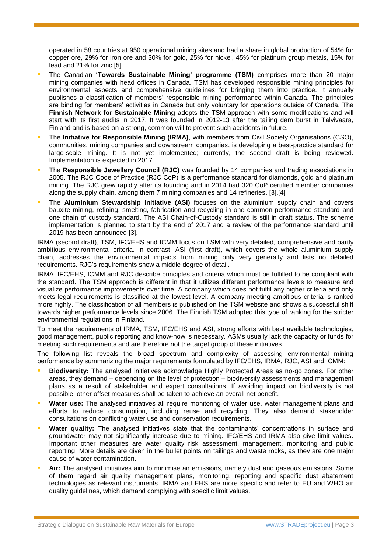operated in 58 countries at 950 operational mining sites and had a share in global production of 54% for copper ore, 29% for iron ore and 30% for gold, 25% for nickel, 45% for platinum group metals, 15% for lead and 21% for zinc [5].

- The Canadian **'Towards Sustainable Mining' programme (TSM)** comprises more than 20 major mining companies with head offices in Canada. TSM has developed responsible mining principles for environmental aspects and comprehensive guidelines for bringing them into practice. It annually publishes a classification of members' responsible mining performance within Canada. The principles are binding for members' activities in Canada but only voluntary for operations outside of Canada. The **Finnish Network for Sustainable Mining** adopts the TSM-approach with some modifications and will start with its first audits in 2017. It was founded in 2012-13 after the tailing dam burst in Talvivaara, Finland and is based on a strong, common will to prevent such accidents in future.
- The **Initiative for Responsible Mining (IRMA)**, with members from Civil Society Organisations (CSO), communities, mining companies and downstream companies, is developing a best-practice standard for large-scale mining. It is not yet implemented; currently, the second draft is being reviewed. Implementation is expected in 2017.
- The **Responsible Jewellery Council (RJC)** was founded by 14 companies and trading associations in 2005. The RJC Code of Practice (RJC CoP) is a performance standard for diamonds, gold and platinum mining. The RJC grew rapidly after its founding and in 2014 had 320 CoP certified member companies along the supply chain, among them 7 mining companies and 14 refineries. [3],[4]
- The **Aluminium Stewardship Initiative (ASI)** focuses on the aluminium supply chain and covers bauxite mining, refining, smelting, fabrication and recycling in one common performance standard and one chain of custody standard. The ASI Chain-of-Custody standard is still in draft status. The scheme implementation is planned to start by the end of 2017 and a review of the performance standard until 2019 has been announced [3].

IRMA (second draft), TSM, IFC/EHS and ICMM focus on LSM with very detailed, comprehensive and partly ambitious environmental criteria. In contrast, ASI (first draft), which covers the whole aluminium supply chain, addresses the environmental impacts from mining only very generally and lists no detailed requirements. RJC's requirements show a middle degree of detail.

IRMA, IFC/EHS, ICMM and RJC describe principles and criteria which must be fulfilled to be compliant with the standard. The TSM approach is different in that it utilizes different performance levels to measure and visualize performance improvements over time. A company which does not fulfil any higher criteria and only meets legal requirements is classified at the lowest level. A company meeting ambitious criteria is ranked more highly. The classification of all members is published on the TSM website and shows a successful shift towards higher performance levels since 2006. The Finnish TSM adopted this type of ranking for the stricter environmental regulations in Finland.

To meet the requirements of IRMA, TSM, IFC/EHS and ASI, strong efforts with best available technologies, good management, public reporting and know-how is necessary. ASMs usually lack the capacity or funds for meeting such requirements and are therefore not the target group of these initiatives.

The following list reveals the broad spectrum and complexity of assessing environmental mining performance by summarizing the major requirements formulated by IFC/EHS, IRMA, RJC, ASI and ICMM:

- **Biodiversity:** The analysed initiatives acknowledge Highly Protected Areas as no-go zones. For other areas, they demand – depending on the level of protection – biodiversity assessments and management plans as a result of stakeholder and expert consultations. If avoiding impact on biodiversity is not possible, other offset measures shall be taken to achieve an overall net benefit.
- Water use: The analysed initiatives all require monitoring of water use, water management plans and efforts to reduce consumption, including reuse and recycling. They also demand stakeholder consultations on conflicting water use and conservation requirements.
- **Water quality:** The analysed initiatives state that the contaminants' concentrations in surface and groundwater may not significantly increase due to mining. IFC/EHS and IRMA also give limit values. Important other measures are water quality risk assessment, management, monitoring and public reporting. More details are given in the bullet points on tailings and waste rocks, as they are one major cause of water contamination.
- **Air:** The analysed initiatives aim to minimise air emissions, namely dust and gaseous emissions. Some of them regard air quality management plans, monitoring, reporting and specific dust abatement technologies as relevant instruments. IRMA and EHS are more specific and refer to EU and WHO air quality guidelines, which demand complying with specific limit values.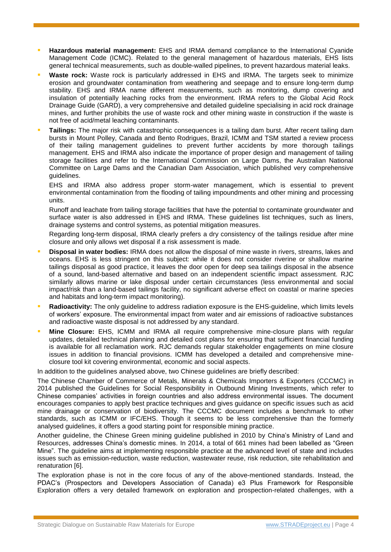- **Hazardous material management:** EHS and IRMA demand compliance to the International Cyanide Management Code (ICMC). Related to the general management of hazardous materials, EHS lists general technical measurements, such as double-walled pipelines, to prevent hazardous material leaks.
- **Waste rock:** Waste rock is particularly addressed in EHS and IRMA. The targets seek to minimize erosion and groundwater contamination from weathering and seepage and to ensure long-term dump stability. EHS and IRMA name different measurements, such as monitoring, dump covering and insulation of potentially leaching rocks from the environment. IRMA refers to the Global Acid Rock Drainage Guide (GARD), a very comprehensive and detailed guideline specialising in acid rock drainage mines, and further prohibits the use of waste rock and other mining waste in construction if the waste is not free of acid/metal leaching contaminants.
- **Tailings:** The major risk with catastrophic consequences is a tailing dam burst. After recent tailing dam bursts in Mount Polley, Canada and Bento Rodrigues, Brazil, ICMM and TSM started a review process of their tailing management guidelines to prevent further accidents by more thorough tailings management. EHS and IRMA also indicate the importance of proper design and management of tailing storage facilities and refer to the International Commission on Large Dams, the Australian National Committee on Large Dams and the Canadian Dam Association, which published very comprehensive guidelines.

EHS and IRMA also address proper storm-water management, which is essential to prevent environmental contamination from the flooding of tailing impoundments and other mining and processing units.

Runoff and leachate from tailing storage facilities that have the potential to contaminate groundwater and surface water is also addressed in EHS and IRMA. These guidelines list techniques, such as liners, drainage systems and control systems, as potential mitigation measures.

Regarding long-term disposal, IRMA clearly prefers a dry consistency of the tailings residue after mine closure and only allows wet disposal if a risk assessment is made.

- **Disposal in water bodies:** IRMA does not allow the disposal of mine waste in rivers, streams, lakes and oceans. EHS is less stringent on this subject: while it does not consider riverine or shallow marine tailings disposal as good practice, it leaves the door open for deep sea tailings disposal in the absence of a sound, land-based alternative and based on an independent scientific impact assessment. RJC similarly allows marine or lake disposal under certain circumstances (less environmental and social impact/risk than a land-based tailings facility, no significant adverse effect on coastal or marine species and habitats and long-term impact monitoring).
- **Radioactivity:** The only guideline to address radiation exposure is the EHS-guideline, which limits levels of workers' exposure. The environmental impact from water and air emissions of radioactive substances and radioactive waste disposal is not addressed by any standard.
- **Mine Closure:** EHS, ICMM and IRMA all require comprehensive mine-closure plans with regular updates, detailed technical planning and detailed cost plans for ensuring that sufficient financial funding is available for all reclamation work. RJC demands regular stakeholder engagements on mine closure issues in addition to financial provisions. ICMM has developed a detailed and comprehensive mineclosure tool kit covering environmental, economic and social aspects.

In addition to the guidelines analysed above, two Chinese guidelines are briefly described:

The Chinese Chamber of Commerce of Metals, Minerals & Chemicals Importers & Exporters (CCCMC) in 2014 published the Guidelines for Social Responsibility in Outbound Mining Investments, which refer to Chinese companies' activities in foreign countries and also address environmental issues. The document encourages companies to apply best practice techniques and gives guidance on specific issues such as acid mine drainage or conservation of biodiversity. The CCCMC document includes a benchmark to other standards, such as ICMM or IFC/EHS. Though it seems to be less comprehensive than the formerly analysed guidelines, it offers a good starting point for responsible mining practice.

Another guideline, the Chinese Green mining guideline published in 2010 by China's Ministry of Land and Resources, addresses China's domestic mines. In 2014, a total of 661 mines had been labelled as "Green Mine". The guideline aims at implementing responsible practice at the advanced level of state and includes issues such as emission-reduction, waste reduction, wastewater reuse, risk reduction, site rehabilitation and renaturation [6].

The exploration phase is not in the core focus of any of the above-mentioned standards. Instead, the PDAC's (Prospectors and Developers Association of Canada) e3 Plus Framework for Responsible Exploration offers a very detailed framework on exploration and prospection-related challenges, with a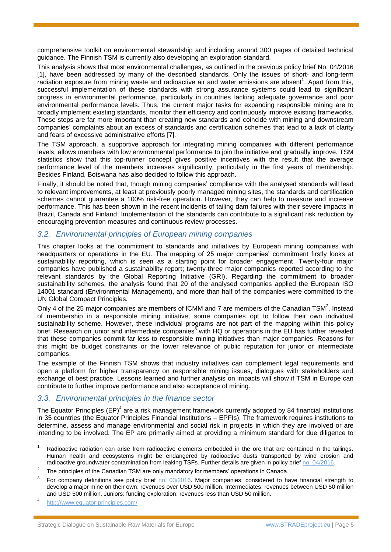comprehensive toolkit on environmental stewardship and including around 300 pages of detailed technical guidance. The Finnish TSM is currently also developing an exploration standard.

This analysis shows that most environmental challenges, as outlined in the previous policy brief No. 04/2016 [1], have been addressed by many of the described standards. Only the issues of short- and long-term radiation exposure from mining waste and radioactive air and water emissions are absent<sup>1</sup>. Apart from this, successful implementation of these standards with strong assurance systems could lead to significant progress in environmental performance, particularly in countries lacking adequate governance and poor environmental performance levels. Thus, the current major tasks for expanding responsible mining are to broadly implement existing standards, monitor their efficiency and continuously improve existing frameworks. These steps are far more important than creating new standards and coincide with mining and downstream companies' complaints about an excess of standards and certification schemes that lead to a lack of clarity and fears of excessive administrative efforts [7].

The TSM approach, a supportive approach for integrating mining companies with different performance levels, allows members with low environmental performance to join the initiative and gradually improve. TSM statistics show that this top-runner concept gives positive incentives with the result that the average performance level of the members increases significantly, particularly in the first years of membership. Besides Finland, Botswana has also decided to follow this approach.

Finally, it should be noted that, though mining companies' compliance with the analysed standards will lead to relevant improvements, at least at previously poorly managed mining sites, the standards and certification schemes cannot guarantee a 100% risk-free operation. However, they can help to measure and increase performance. This has been shown in the recent incidents of tailing dam failures with their severe impacts in Brazil, Canada and Finland. Implementation of the standards can contribute to a significant risk reduction by encouraging prevention measures and continuous review processes.

## *3.2. Environmental principles of European mining companies*

This chapter looks at the commitment to standards and initiatives by European mining companies with headquarters or operations in the EU. The mapping of 25 major companies' commitment firstly looks at sustainability reporting, which is seen as a starting point for broader engagement. Twenty-four major companies have published a sustainability report; twenty-three major companies reported according to the relevant standards by the Global Reporting Initiative (GRI). Regarding the commitment to broader sustainability schemes, the analysis found that 20 of the analysed companies applied the European ISO 14001 standard (Environmental Management), and more than half of the companies were committed to the UN Global Compact Principles.

Only 4 of the 25 major companies are members of ICMM and 7 are members of the Canadian  $\text{TSM}^2$ . Instead of membership in a responsible mining initiative, some companies opt to follow their own individual sustainability scheme. However, these individual programs are not part of the mapping within this policy brief. Research on junior and intermediate companies<sup>3</sup> with HQ or operations in the EU has further revealed that these companies commit far less to responsible mining initiatives than major companies. Reasons for this might be budget constraints or the lower relevance of public reputation for junior or intermediate companies.

The example of the Finnish TSM shows that industry initiatives can complement legal requirements and open a platform for higher transparency on responsible mining issues, dialogues with stakeholders and exchange of best practice. Lessons learned and further analysis on impacts will show if TSM in Europe can contribute to further improve performance and also acceptance of mining.

## <span id="page-4-0"></span>*3.3. Environmental principles in the finance sector*

The Equator Principles (EP)<sup>4</sup> are a risk management framework currently adopted by 84 financial institutions in 35 countries (the Equator Principles Financial Institutions – EPFIs). The framework requires institutions to determine, assess and manage environmental and social risk in projects in which they are involved or are intending to be involved. The EP are primarily aimed at providing a minimum standard for due diligence to

l

Radioactive radiation can arise from radioactive elements embedded in the ore that are contained in the tailings. Human health and ecosystems might be endangered by radioactive dusts transported by wind erosion and radioactive groundwater contamination from leaking TSFs. Further details are given in policy brief [no. 04/2016.](http://stradeproject.eu/fileadmin/user_upload/pdf/PolicyBrief_04-2016_Sep2016_FINAL.pdf) 

<sup>2</sup> The principles of the Canadian TSM are only mandatory for members' operations in Canada.

<sup>3</sup> For company definitions see policy brief no. [03/2016.](http://stradeproject.eu/fileadmin/user_upload/pdf/PolicyBrief_03-2016_Aug2016_FINAL.pdf) Major companies: considered to have financial strength to develop a major mine on their own; revenues over USD 500 million. Intermediates: revenues between USD 50 million and USD 500 million. Juniors: funding exploration; revenues less than USD 50 million.

<sup>4</sup> <http://www.equator-principles.com/>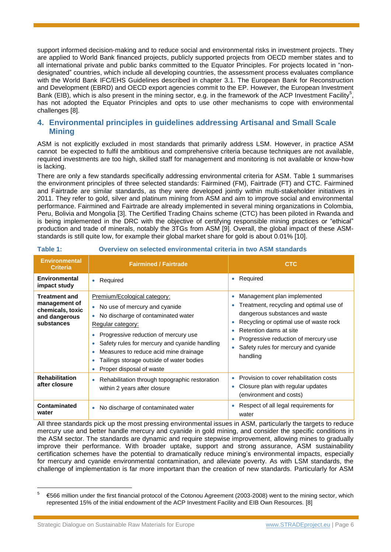support informed decision-making and to reduce social and environmental risks in investment projects. They are applied to World Bank financed projects, publicly supported projects from OECD member states and to all international private and public banks committed to the Equator Principles. For projects located in "nondesignated" countries, which include all developing countries, the assessment process evaluates compliance with the World Bank IFC/EHS Guidelines described in chapter [3.1.](#page-1-0) The European Bank for Reconstruction and Development (EBRD) and OECD export agencies commit to the EP. However, the European Investment Bank (EIB), which is also present in the mining sector, e.g. in the framework of the ACP Investment Facility<sup>5</sup>, has not adopted the Equator Principles and opts to use other mechanisms to cope with environmental challenges [8].

# <span id="page-5-1"></span>**4. Environmental principles in guidelines addressing Artisanal and Small Scale Mining**

ASM is not explicitly excluded in most standards that primarily address LSM. However, in practice ASM cannot be expected to fulfil the ambitious and comprehensive criteria because techniques are not available, required investments are too high, skilled staff for management and monitoring is not available or know-how is lacking.

There are only a few standards specifically addressing environmental criteria for ASM. [Table 1](#page-5-0) summarises the environment principles of three selected standards: Fairmined (FM), Fairtrade (FT) and CTC. Fairmined and Fairtrade are similar standards, as they were developed jointly within multi-stakeholder initiatives in 2011. They refer to gold, silver and platinum mining from ASM and aim to improve social and environmental performance. Fairmined and Fairtrade are already implemented in several mining organizations in Colombia, Peru, Bolivia and Mongolia [3]. The Certified Trading Chains scheme (CTC) has been piloted in Rwanda and is being implemented in the DRC with the objective of certifying responsible mining practices or "ethical" production and trade of minerals, notably the 3TGs from ASM [9]. Overall, the global impact of these ASMstandards is still quite low, for example their global market share for gold is about 0.01% [10].

| <b>Environmental</b><br><b>Criteria</b>                                                  | <b>Fairmined / Fairtrade</b>                                                                                                                                                                                                                                                                                                                           | <b>CTC</b>                                                                                                                                                                                                                                                                                              |
|------------------------------------------------------------------------------------------|--------------------------------------------------------------------------------------------------------------------------------------------------------------------------------------------------------------------------------------------------------------------------------------------------------------------------------------------------------|---------------------------------------------------------------------------------------------------------------------------------------------------------------------------------------------------------------------------------------------------------------------------------------------------------|
| <b>Environmental</b><br>impact study                                                     | Required<br>٠                                                                                                                                                                                                                                                                                                                                          | Required<br>$\bullet$                                                                                                                                                                                                                                                                                   |
| <b>Treatment and</b><br>management of<br>chemicals, toxic<br>and dangerous<br>substances | Premium/Ecological category:<br>No use of mercury and cyanide<br>۰<br>No discharge of contaminated water<br>Regular category:<br>Progressive reduction of mercury use<br>Safety rules for mercury and cyanide handling<br>۰<br>Measures to reduce acid mine drainage<br>۰<br>Tailings storage outside of water bodies<br>۰<br>Proper disposal of waste | Management plan implemented<br>$\bullet$<br>Treatment, recycling and optimal use of<br>dangerous substances and waste<br>Recycling or optimal use of waste rock<br>۰<br>Retention dams at site<br>$\bullet$<br>Progressive reduction of mercury use<br>Safety rules for mercury and cyanide<br>handling |
| <b>Rehabilitation</b><br>after closure                                                   | Rehabilitation through topographic restoration<br>٠<br>within 2 years after closure                                                                                                                                                                                                                                                                    | Provision to cover rehabilitation costs<br>Closure plan with regular updates<br>۰<br>(environment and costs)                                                                                                                                                                                            |
| <b>Contaminated</b><br>water                                                             | No discharge of contaminated water<br>۰                                                                                                                                                                                                                                                                                                                | Respect of all legal requirements for<br>water                                                                                                                                                                                                                                                          |

#### <span id="page-5-0"></span>**Table 1: Overview on selected environmental criteria in two ASM standards**

All three standards pick up the most pressing environmental issues in ASM, particularly the targets to reduce mercury use and better handle mercury and cyanide in gold mining, and consider the specific conditions in the ASM sector. The standards are dynamic and require stepwise improvement, allowing mines to gradually improve their performance. With broader uptake, support and strong assurance, ASM sustainability certification schemes have the potential to dramatically reduce mining's environmental impacts, especially for mercury and cyanide environmental contamination, and alleviate poverty. As with LSM standards, the challenge of implementation is far more important than the creation of new standards. Particularly for ASM

l

<sup>5</sup> €566 million under the first financial protocol of the Cotonou Agreement (2003-2008) went to the mining sector, which represented 15% of the initial endowment of the ACP Investment Facility and EIB Own Resources. [8]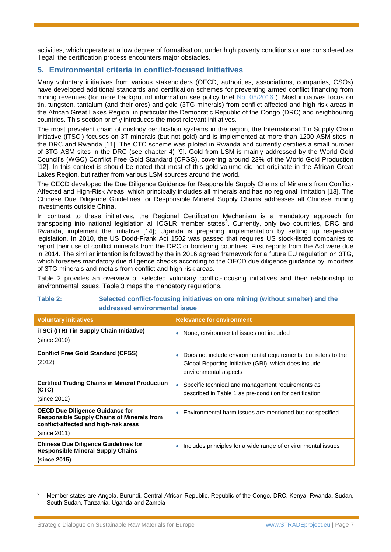activities, which operate at a low degree of formalisation, under high poverty conditions or are considered as illegal, the certification process encounters major obstacles.

# **5. Environmental criteria in conflict-focused initiatives**

Many voluntary initiatives from various stakeholders (OECD, authorities, associations, companies, CSOs) have developed additional standards and certification schemes for preventing armed conflict financing from mining revenues (for more background information see policy brief [No. 05/2016](http://stradeproject.eu/fileadmin/user_upload/pdf/PolicyBrief_05-2016_Oct2016_FINAL.pdf)). Most initiatives focus on tin, tungsten, tantalum (and their ores) and gold (3TG-minerals) from conflict-affected and high-risk areas in the African Great Lakes Region, in particular the Democratic Republic of the Congo (DRC) and neighbouring countries. This section briefly introduces the most relevant initiatives.

The most prevalent chain of custody certification systems in the region, the International Tin Supply Chain Initiative (iTSCi) focuses on 3T minerals (but not gold) and is implemented at more than 1200 ASM sites in the DRC and Rwanda [11]. The CTC scheme was piloted in Rwanda and currently certifies a small number of 3TG ASM sites in the DRC (see chapter [4\)](#page-5-1) [9]. Gold from LSM is mainly addressed by the World Gold Council's (WGC) Conflict Free Gold Standard (CFGS), covering around 23% of the World Gold Production [12]. In this context is should be noted that most of this gold volume did not originate in the African Great Lakes Region, but rather from various LSM sources around the world.

The OECD developed the Due Diligence Guidance for Responsible Supply Chains of Minerals from Conflict-Affected and High-Risk Areas, which principally includes all minerals and has no regional limitation [13]. The Chinese Due Diligence Guidelines for Responsible Mineral Supply Chains addresses all Chinese mining investments outside China.

In contrast to these initiatives, the Regional Certification Mechanism is a mandatory approach for transposing into national legislation all ICGLR member states<sup>6</sup>. Currently, only two countries, DRC and Rwanda, implement the initiative [14]; Uganda is preparing implementation by setting up respective legislation. In 2010, the US Dodd-Frank Act 1502 was passed that requires US stock-listed companies to report their use of conflict minerals from the DRC or bordering countries. First reports from the Act were due in 2014. The similar intention is followed by the in 2016 agreed framework for a future EU regulation on 3TG, which foresees mandatory due diligence checks according to the OECD due diligence guidance by importers of 3TG minerals and metals from conflict and high-risk areas.

[Table 2](#page-6-0) provides an overview of selected voluntary conflict-focusing initiatives and their relationship to environmental issues. [Table 3](#page-7-0) maps the mandatory regulations.

#### <span id="page-6-0"></span>**Table 2: Selected conflict-focusing initiatives on ore mining (without smelter) and the addressed environmental issue**

| <b>Voluntary initiatives</b>                                                                                                                         | <b>Relevance for environment</b>                                                                                                                              |
|------------------------------------------------------------------------------------------------------------------------------------------------------|---------------------------------------------------------------------------------------------------------------------------------------------------------------|
| <b>iTSCi (ITRI Tin Supply Chain Initiative)</b><br>(since 2010)                                                                                      | None, environmental issues not included                                                                                                                       |
| <b>Conflict Free Gold Standard (CFGS)</b><br>(2012)                                                                                                  | Does not include environmental requirements, but refers to the<br>$\bullet$<br>Global Reporting Initiative (GRI), which does include<br>environmental aspects |
| <b>Certified Trading Chains in Mineral Production</b><br>(CTC)<br>(since 2012)                                                                       | Specific technical and management requirements as<br>$\bullet$<br>described in Table 1 as pre-condition for certification                                     |
| <b>OECD Due Diligence Guidance for</b><br><b>Responsible Supply Chains of Minerals from</b><br>conflict-affected and high-risk areas<br>(since 2011) | Environmental harm issues are mentioned but not specified                                                                                                     |
| <b>Chinese Due Diligence Guidelines for</b><br><b>Responsible Mineral Supply Chains</b><br>(since 2015)                                              | Includes principles for a wide range of environmental issues                                                                                                  |

<sup>6</sup> Member states are Angola, Burundi, Central African Republic, Republic of the Congo, DRC, Kenya, Rwanda, Sudan, South Sudan, Tanzania, Uganda and Zambia

l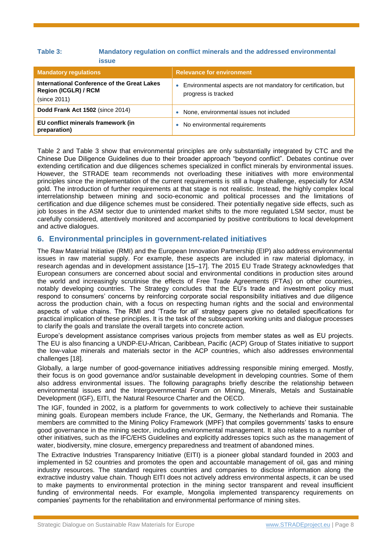#### <span id="page-7-0"></span>**Table 3: Mandatory regulation on conflict minerals and the addressed environmental issue**

| <b>Mandatory regulations</b>                                                               | <b>Relevance for environment</b>                                                      |
|--------------------------------------------------------------------------------------------|---------------------------------------------------------------------------------------|
| International Conference of the Great Lakes<br><b>Region (ICGLR) / RCM</b><br>(since 2011) | Environmental aspects are not mandatory for certification, but<br>progress is tracked |
| Dodd Frank Act 1502 (since 2014)                                                           | None, environmental issues not included                                               |
| EU conflict minerals framework (in<br>preparation)                                         | No environmental requirements                                                         |

[Table 2](#page-6-0) and [Table 3](#page-7-0) show that environmental principles are only substantially integrated by CTC and the Chinese Due Diligence Guidelines due to their broader approach "beyond conflict". Debates continue over extending certification and due diligences schemes specialized in conflict minerals by environmental issues. However, the STRADE team recommends not overloading these initiatives with more environmental principles since the implementation of the current requirements is still a huge challenge, especially for ASM gold. The introduction of further requirements at that stage is not realistic. Instead, the highly complex local interrelationship between mining and socio-economic and political processes and the limitations of certification and due diligence schemes must be considered. Their potentially negative side effects, such as job losses in the ASM sector due to unintended market shifts to the more regulated LSM sector, must be carefully considered, attentively monitored and accompanied by positive contributions to local development and active dialogues.

## **6. Environmental principles in government-related initiatives**

The Raw Material Initiative (RMI) and the European Innovation Partnership (EIP) also address environmental issues in raw material supply. For example, these aspects are included in raw material diplomacy, in research agendas and in development assistance [15–17]. The 2015 EU Trade Strategy acknowledges that European consumers are concerned about social and environmental conditions in production sites around the world and increasingly scrutinise the effects of Free Trade Agreements (FTAs) on other countries, notably developing countries. The Strategy concludes that the EU's trade and investment policy must respond to consumers' concerns by reinforcing corporate social responsibility initiatives and due diligence across the production chain, with a focus on respecting human rights and the social and environmental aspects of value chains. The RMI and 'Trade for all' strategy papers give no detailed specifications for practical implication of these principles. It is the task of the subsequent working units and dialogue processes to clarify the goals and translate the overall targets into concrete action.

Europe's development assistance comprises various projects from member states as well as EU projects. The EU is also financing a UNDP-EU-African, Caribbean, Pacific (ACP) Group of States initiative to support the low-value minerals and materials sector in the ACP countries, which also addresses environmental challenges [18].

Globally, a large number of good-governance initiatives addressing responsible mining emerged. Mostly, their focus is on good governance and/or sustainable development in developing countries. Some of them also address environmental issues. The following paragraphs briefly describe the relationship between environmental issues and the Intergovernmental Forum on Mining, Minerals, Metals and Sustainable Development (IGF), EITI, the Natural Resource Charter and the OECD.

The IGF, founded in 2002, is a platform for governments to work collectively to achieve their sustainable mining goals. European members include France, the UK, Germany, the Netherlands and Romania. The members are committed to the Mining Policy Framework (MPF) that compiles governments' tasks to ensure good governance in the mining sector, including environmental management. It also relates to a number of other initiatives, such as the IFC/EHS Guidelines and explicitly addresses topics such as the management of water, biodiversity, mine closure, emergency preparedness and treatment of abandoned mines.

The Extractive Industries Transparency Initiative (EITI) is a pioneer global standard founded in 2003 and implemented in 52 countries and promotes the open and accountable management of oil, gas and mining industry resources. The standard requires countries and companies to disclose information along the extractive industry value chain. Though EITI does not actively address environmental aspects, it can be used to make payments to environmental protection in the mining sector transparent and reveal insufficient funding of environmental needs. For example, Mongolia implemented transparency requirements on companies' payments for the rehabilitation and environmental performance of mining sites.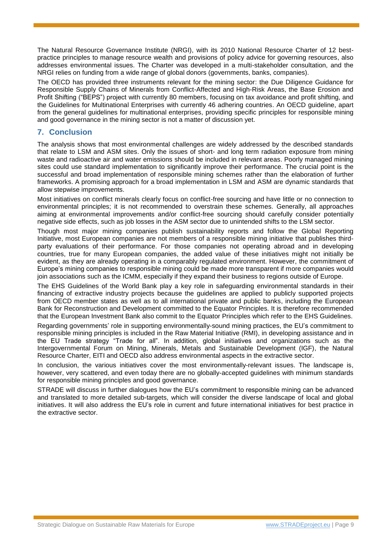The Natural Resource Governance Institute (NRGI), with its 2010 National Resource Charter of 12 bestpractice principles to manage resource wealth and provisions of policy advice for governing resources, also addresses environmental issues. The Charter was developed in a multi-stakeholder consultation, and the NRGI relies on funding from a wide range of global donors (governments, banks, companies).

The OECD has provided three instruments relevant for the mining sector: the Due Diligence Guidance for Responsible Supply Chains of Minerals from Conflict-Affected and High-Risk Areas, the Base Erosion and Profit Shifting ("BEPS") project with currently 80 members, focusing on tax avoidance and profit shifting, and the Guidelines for Multinational Enterprises with currently 46 adhering countries. An OECD guideline, apart from the general guidelines for multinational enterprises, providing specific principles for responsible mining and good governance in the mining sector is not a matter of discussion yet.

## **7. Conclusion**

The analysis shows that most environmental challenges are widely addressed by the described standards that relate to LSM and ASM sites. Only the issues of short- and long term radiation exposure from mining waste and radioactive air and water emissions should be included in relevant areas. Poorly managed mining sites could use standard implementation to significantly improve their performance. The crucial point is the successful and broad implementation of responsible mining schemes rather than the elaboration of further frameworks. A promising approach for a broad implementation in LSM and ASM are dynamic standards that allow stepwise improvements.

Most initiatives on conflict minerals clearly focus on conflict-free sourcing and have little or no connection to environmental principles; it is not recommended to overstrain these schemes. Generally, all approaches aiming at environmental improvements and/or conflict-free sourcing should carefully consider potentially negative side effects, such as job losses in the ASM sector due to unintended shifts to the LSM sector.

Though most major mining companies publish sustainability reports and follow the Global Reporting Initiative, most European companies are not members of a responsible mining initiative that publishes thirdparty evaluations of their performance. For those companies not operating abroad and in developing countries, true for many European companies, the added value of these initiatives might not initially be evident, as they are already operating in a comparably regulated environment. However, the commitment of Europe's mining companies to responsible mining could be made more transparent if more companies would join associations such as the ICMM, especially if they expand their business to regions outside of Europe.

The EHS Guidelines of the World Bank play a key role in safeguarding environmental standards in their financing of extractive industry projects because the guidelines are applied to publicly supported projects from OECD member states as well as to all international private and public banks, including the European Bank for Reconstruction and Development committed to the Equator Principles. It is therefore recommended that the European Investment Bank also commit to the Equator Principles which refer to the EHS Guidelines.

Regarding governments' role in supporting environmentally-sound mining practices, the EU's commitment to responsible mining principles is included in the Raw Material Initiative (RMI), in developing assistance and in the EU Trade strategy "Trade for all". In addition, global initiatives and organizations such as the Intergovernmental Forum on Mining, Minerals, Metals and Sustainable Development (IGF), the Natural Resource Charter, EITI and OECD also address environmental aspects in the extractive sector.

In conclusion, the various initiatives cover the most environmentally-relevant issues. The landscape is, however, very scattered, and even today there are no globally-accepted guidelines with minimum standards for responsible mining principles and good governance.

STRADE will discuss in further dialogues how the EU's commitment to responsible mining can be advanced and translated to more detailed sub-targets, which will consider the diverse landscape of local and global initiatives. It will also address the EU's role in current and future international initiatives for best practice in the extractive sector.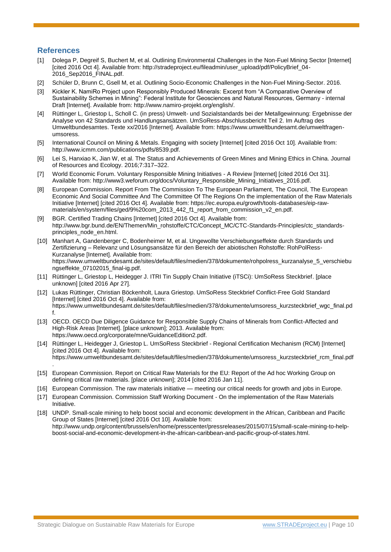#### **References**

.

- [1] Dolega P, Degreif S, Buchert M, et al. Outlining Environmental Challenges in the Non-Fuel Mining Sector [Internet] [cited 2016 Oct 4]. Available from: http://stradeproject.eu/fileadmin/user\_upload/pdf/PolicyBrief\_04- 2016\_Sep2016\_FINAL.pdf.
- [2] Schüler D, Brunn C, Gsell M, et al. Outlining Socio-Economic Challenges in the Non-Fuel Mining-Sector. 2016.
- [3] Kickler K. NamiRo Project upon Responsibly Produced Minerals: Excerpt from "A Comparative Overview of Sustainability Schemes in Mining": Federal Institute for Geosciences and Natural Resources, Germany - internal Draft [Internet]. Available from: http://www.namiro-projekt.org/english/.
- [4] Rüttinger L, Griestop L, Scholl C. (in press) Umwelt- und Sozialstandards bei der Metallgewinnung: Ergebnisse der Analyse von 42 Standards und Handlungsansätzen. UmSoRess-Abschlussbericht Teil 2. Im Auftrag des Umweltbundesamtes. Texte xx/2016 [Internet]. Available from: https://www.umweltbundesamt.de/umweltfragenumsoress.
- [5] International Council on Mining & Metals. Engaging with society [Internet] [cited 2016 Oct 10]. Available from: http://www.icmm.com/publications/pdfs/8539.pdf.
- [6] Lei S, Hanxiao K, Jian W, et al. The Status and Achievements of Green Mines and Mining Ethics in China. Journal of Resources and Ecology. 2016;7:317–322.
- [7] World Economic Forum. Voluntary Responsible Mining Initiatives A Review [Internet] [cited 2016 Oct 31]. Available from: http://www3.weforum.org/docs/Voluntary\_Responsible\_Mining\_Initiatives\_2016.pdf.
- [8] European Commission. Report From The Commission To The European Parliament, The Council, The European Economic And Social Committee And The Committee Of The Regions On the implementation of the Raw Materials Initiative [Internet] [cited 2016 Oct 4]. Available from: https://ec.europa.eu/growth/tools-databases/eip-rawmaterials/en/system/files/ged/9%20com\_2013\_442\_f1\_report\_from\_commission\_v2\_en.pdf.
- [9] BGR. Certified Trading Chains [Internet] [cited 2016 Oct 4]. Available from: http://www.bgr.bund.de/EN/Themen/Min\_rohstoffe/CTC/Concept\_MC/CTC-Standards-Principles/ctc\_standardsprinciples\_node\_en.html.
- [10] Manhart A, Gandenberger C, Bodenheimer M, et al. Ungewollte Verschiebungseffekte durch Standards und Zertifizierung – Relevanz und Lösungsansätze für den Bereich der abiotischen Rohstoffe: RohPolRess-Kurzanalyse [Internet]. Available from: https://www.umweltbundesamt.de/sites/default/files/medien/378/dokumente/rohpolress\_kurzanalyse\_5\_verschiebu ngseffekte\_07102015\_final-ig.pdf.
- [11] Rüttinger L, Griestop L, Heidegger J. ITRI Tin Supply Chain Initiative (iTSCi): UmSoRess Steckbrief. [place unknown] [cited 2016 Apr 27].
- [12] Lukas Rüttinger, Christian Böckenholt, Laura Griestop. UmSoRess Steckbrief Conflict-Free Gold Standard [Internet] [cited 2016 Oct 4]. Available from: https://www.umweltbundesamt.de/sites/default/files/medien/378/dokumente/umsoress\_kurzsteckbrief\_wgc\_final.pd f.
- [13] OECD, OECD Due Diligence Guidance for Responsible Supply Chains of Minerals from Conflict-Affected and High-Risk Areas [Internet]. [place unknown]; 2013. Available from: https://www.oecd.org/corporate/mne/GuidanceEdition2.pdf.
- [14] Rüttinger L, Heidegger J, Griestop L. UmSoRess Steckbrief Regional Certification Mechanism (RCM) [Internet] [cited 2016 Oct 4]. Available from: https://www.umweltbundesamt.de/sites/default/files/medien/378/dokumente/umsoress\_kurzsteckbrief\_rcm\_final.pdf
- [15] European Commission. Report on Critical Raw Materials for the EU: Report of the Ad hoc Working Group on defining critical raw materials. [place unknown]; 2014 [cited 2016 Jan 11].
- [16] European Commission. The raw materials initiative meeting our critical needs for growth and jobs in Europe.
- [17] European Commission. Commission Staff Working Document On the implementation of the Raw Materials Initiative.
- [18] UNDP. Small-scale mining to help boost social and economic development in the African, Caribbean and Pacific Group of States [Internet] [cited 2016 Oct 10]. Available from: http://www.undp.org/content/brussels/en/home/presscenter/pressreleases/2015/07/15/small-scale-mining-to-helpboost-social-and-economic-development-in-the-african-caribbean-and-pacific-group-of-states.html.